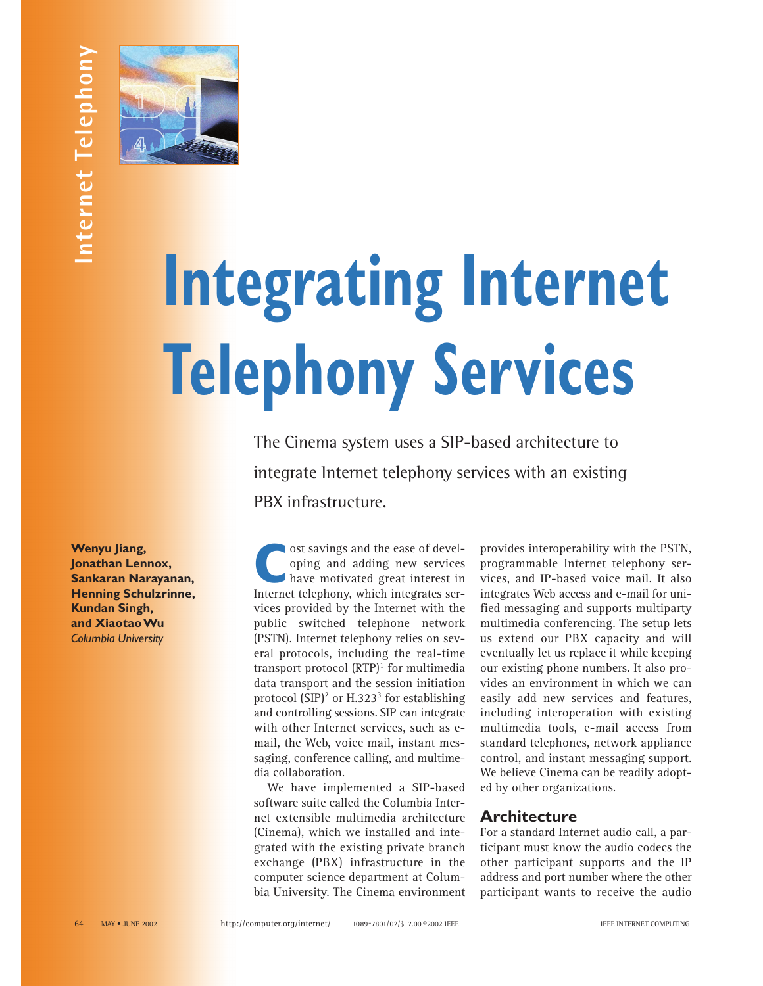

# **Integrating Internet Telephony Services** FREE ISLAM **FREE ISLAM FREE ISLAM FREE ISLAM FREE ISLAM FREE ISLAM FREE ISLAM FREE ISLAM FREE ISLAM FREE ISLAM FREE ISLAM FREE ISLAM FREE ISLAM FREE ISLAM FREE ISLAM FREE ISLAM FREE ISLAM FREE ISLAM FREE ISLAM FREE ISLAM F**

The Cinema system uses a SIP-based architecture to integrate Internet telephony services with an existing PBX infrastructure.

**Cost savings and the ease of developing and adding new services have motivated great interest in Internet telephony, which integrates ser**oping and adding new services have motivated great interest in vices provided by the Internet with the public switched telephone network (PSTN). Internet telephony relies on several protocols, including the real-time transport protocol  $(RTP)^1$  for multimedia data transport and the session initiation protocol (SIP)<sup>2</sup> or H.323<sup>3</sup> for establishing and controlling sessions. SIP can integrate with other Internet services, such as email, the Web, voice mail, instant messaging, conference calling, and multimedia collaboration.

We have implemented a SIP-based software suite called the Columbia Internet extensible multimedia architecture (Cinema), which we installed and integrated with the existing private branch exchange (PBX) infrastructure in the computer science department at Columbia University. The Cinema environment provides interoperability with the PSTN, programmable Internet telephony services, and IP-based voice mail. It also integrates Web access and e-mail for unified messaging and supports multiparty multimedia conferencing. The setup lets us extend our PBX capacity and will eventually let us replace it while keeping our existing phone numbers. It also provides an environment in which we can easily add new services and features, including interoperation with existing multimedia tools, e-mail access from standard telephones, network appliance control, and instant messaging support. We believe Cinema can be readily adopted by other organizations.

# **Architecture**

For a standard Internet audio call, a participant must know the audio codecs the other participant supports and the IP address and port number where the other participant wants to receive the audio

**Wenyu Jiang, Jonathan Lennox, Sankaran Narayanan, Henning Schulzrinne, Kundan Singh, and Xiaotao Wu** *Columbia University*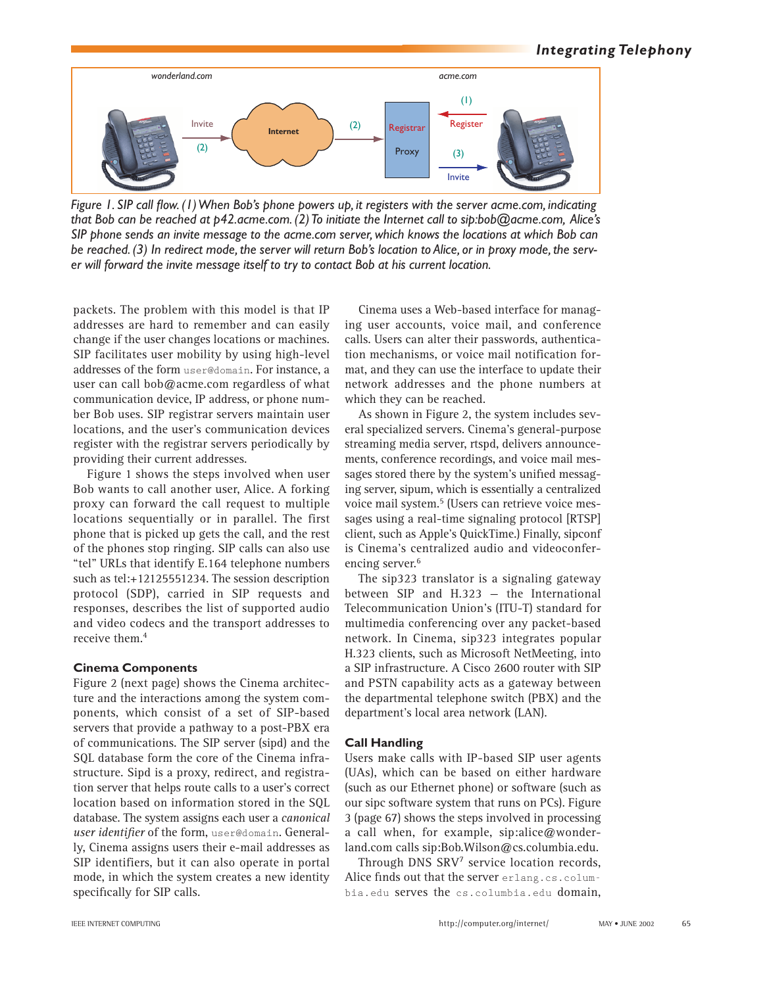

*Figure 1. SIP call flow. (1) When Bob's phone powers up, it registers with the server acme.com, indicating that Bob can be reached at p42.acme.com. (2) To initiate the Internet call to sip:bob@acme.com, Alice's SIP phone sends an invite message to the acme.com server, which knows the locations at which Bob can be reached. (3) In redirect mode, the server will return Bob's location to Alice, or in proxy mode, the server will forward the invite message itself to try to contact Bob at his current location.*

packets. The problem with this model is that IP addresses are hard to remember and can easily change if the user changes locations or machines. SIP facilitates user mobility by using high-level addresses of the form user@domain. For instance, a user can call bob@acme.com regardless of what communication device, IP address, or phone number Bob uses. SIP registrar servers maintain user locations, and the user's communication devices register with the registrar servers periodically by providing their current addresses.

Figure 1 shows the steps involved when user Bob wants to call another user, Alice. A forking proxy can forward the call request to multiple locations sequentially or in parallel. The first phone that is picked up gets the call, and the rest of the phones stop ringing. SIP calls can also use "tel" URLs that identify E.164 telephone numbers such as tel:+12125551234. The session description protocol (SDP), carried in SIP requests and responses, describes the list of supported audio and video codecs and the transport addresses to receive them.<sup>4</sup>

# **Cinema Components**

Figure 2 (next page) shows the Cinema architecture and the interactions among the system components, which consist of a set of SIP-based servers that provide a pathway to a post-PBX era of communications. The SIP server (sipd) and the SQL database form the core of the Cinema infrastructure. Sipd is a proxy, redirect, and registration server that helps route calls to a user's correct location based on information stored in the SQL database. The system assigns each user a *canonical user identifier* of the form, user@domain. Generally, Cinema assigns users their e-mail addresses as SIP identifiers, but it can also operate in portal mode, in which the system creates a new identity specifically for SIP calls.

Cinema uses a Web-based interface for managing user accounts, voice mail, and conference calls. Users can alter their passwords, authentication mechanisms, or voice mail notification format, and they can use the interface to update their network addresses and the phone numbers at which they can be reached.

As shown in Figure 2, the system includes several specialized servers. Cinema's general-purpose streaming media server, rtspd, delivers announcements, conference recordings, and voice mail messages stored there by the system's unified messaging server, sipum, which is essentially a centralized voice mail system.<sup>5</sup> (Users can retrieve voice messages using a real-time signaling protocol [RTSP] client, such as Apple's QuickTime.) Finally, sipconf is Cinema's centralized audio and videoconferencing server.<sup>6</sup>

The sip323 translator is a signaling gateway between SIP and H.323 — the International Telecommunication Union's (ITU-T) standard for multimedia conferencing over any packet-based network. In Cinema, sip323 integrates popular H.323 clients, such as Microsoft NetMeeting, into a SIP infrastructure. A Cisco 2600 router with SIP and PSTN capability acts as a gateway between the departmental telephone switch (PBX) and the department's local area network (LAN).

### **Call Handling**

Users make calls with IP-based SIP user agents (UAs), which can be based on either hardware (such as our Ethernet phone) or software (such as our sipc software system that runs on PCs). Figure 3 (page 67) shows the steps involved in processing a call when, for example, sip:alice@wonderland.com calls sip:Bob.Wilson@cs.columbia.edu.

Through DNS SRV<sup>7</sup> service location records, Alice finds out that the server erlang.cs.columbia.edu serves the cs.columbia.edu domain,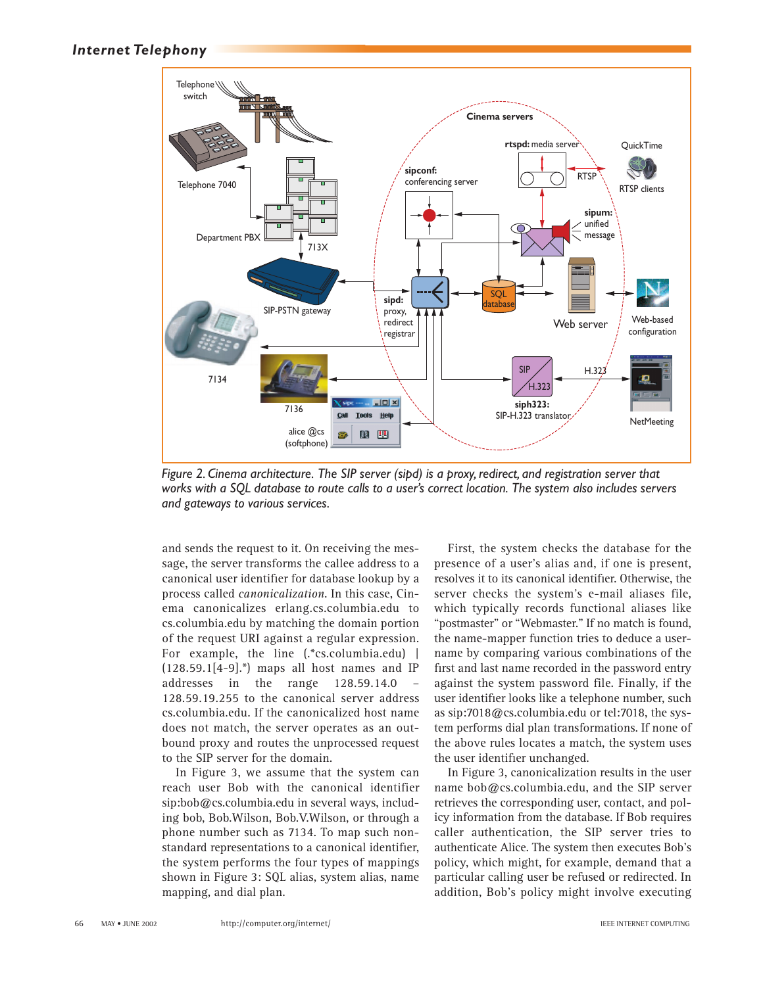# *Internet Telephony*



*Figure 2. Cinema architecture. The SIP server (sipd) is a proxy, redirect, and registration server that works with a SQL database to route calls to a user's correct location. The system also includes servers and gateways to various services.*

and sends the request to it. On receiving the message, the server transforms the callee address to a canonical user identifier for database lookup by a process called *canonicalization*. In this case, Cinema canonicalizes erlang.cs.columbia.edu to cs.columbia.edu by matching the domain portion of the request URI against a regular expression. For example, the line (.\*cs.columbia.edu) |  $(128.59.1[4-9].*)$  maps all host names and IP addresses in the range 128.59.14.0 – 128.59.19.255 to the canonical server address cs.columbia.edu. If the canonicalized host name does not match, the server operates as an outbound proxy and routes the unprocessed request to the SIP server for the domain.

In Figure 3, we assume that the system can reach user Bob with the canonical identifier sip:bob@cs.columbia.edu in several ways, including bob, Bob.Wilson, Bob.V.Wilson, or through a phone number such as 7134. To map such nonstandard representations to a canonical identifier, the system performs the four types of mappings shown in Figure 3: SQL alias, system alias, name mapping, and dial plan.

First, the system checks the database for the presence of a user's alias and, if one is present, resolves it to its canonical identifier. Otherwise, the server checks the system's e-mail aliases file, which typically records functional aliases like "postmaster" or "Webmaster." If no match is found, the name-mapper function tries to deduce a username by comparing various combinations of the first and last name recorded in the password entry against the system password file. Finally, if the user identifier looks like a telephone number, such as sip:7018@cs.columbia.edu or tel:7018, the system performs dial plan transformations. If none of the above rules locates a match, the system uses the user identifier unchanged.

In Figure 3, canonicalization results in the user name bob@cs.columbia.edu, and the SIP server retrieves the corresponding user, contact, and policy information from the database. If Bob requires caller authentication, the SIP server tries to authenticate Alice. The system then executes Bob's policy, which might, for example, demand that a particular calling user be refused or redirected. In addition, Bob's policy might involve executing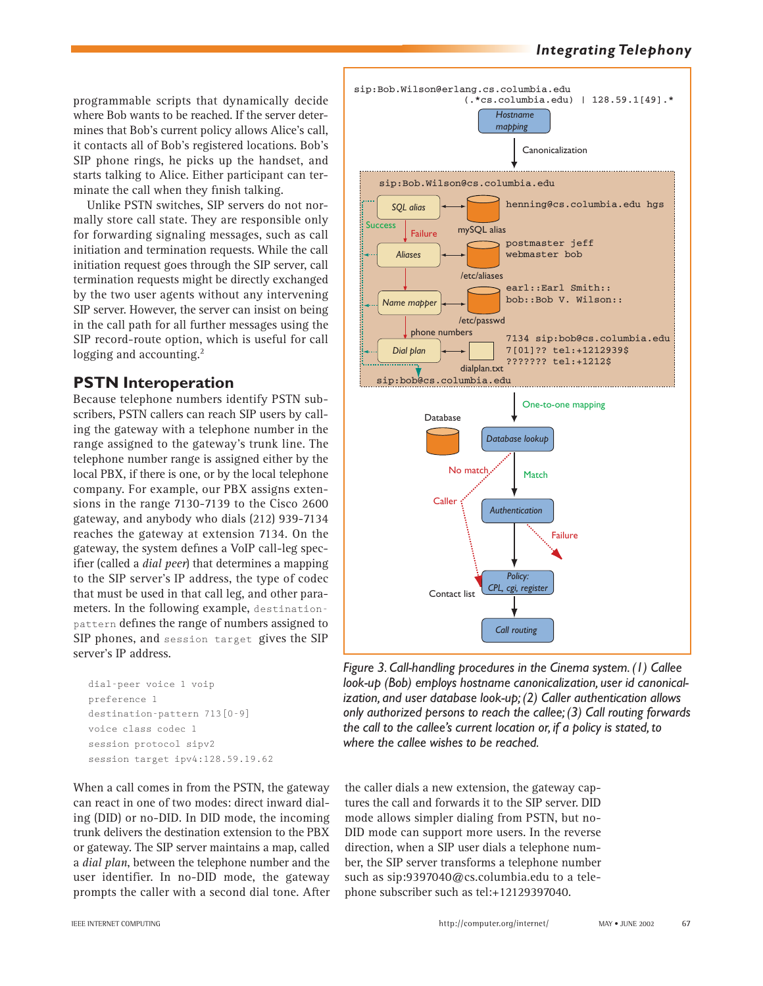# *Integrating Telephony*

programmable scripts that dynamically decide where Bob wants to be reached. If the server determines that Bob's current policy allows Alice's call, it contacts all of Bob's registered locations. Bob's SIP phone rings, he picks up the handset, and starts talking to Alice. Either participant can terminate the call when they finish talking.

Unlike PSTN switches, SIP servers do not normally store call state. They are responsible only for forwarding signaling messages, such as call initiation and termination requests. While the call initiation request goes through the SIP server, call termination requests might be directly exchanged by the two user agents without any intervening SIP server. However, the server can insist on being in the call path for all further messages using the SIP record-route option, which is useful for call logging and accounting.<sup>2</sup>

# **PSTN Interoperation**

Because telephone numbers identify PSTN subscribers, PSTN callers can reach SIP users by calling the gateway with a telephone number in the range assigned to the gateway's trunk line. The telephone number range is assigned either by the local PBX, if there is one, or by the local telephone company. For example, our PBX assigns extensions in the range 7130-7139 to the Cisco 2600 gateway, and anybody who dials (212) 939-7134 reaches the gateway at extension 7134. On the gateway, the system defines a VoIP call-leg specifier (called a *dial peer*) that determines a mapping to the SIP server's IP address, the type of codec that must be used in that call leg, and other parameters. In the following example, destinationpattern defines the range of numbers assigned to SIP phones, and session target gives the SIP server's IP address.

```
dial-peer voice 1 voip
preference 1
destination-pattern 713[0-9]
voice class codec 1
session protocol sipv2
session target ipv4:128.59.19.62
```
When a call comes in from the PSTN, the gateway can react in one of two modes: direct inward dialing (DID) or no-DID. In DID mode, the incoming trunk delivers the destination extension to the PBX or gateway. The SIP server maintains a map, called a *dial plan*, between the telephone number and the user identifier. In no-DID mode, the gateway prompts the caller with a second dial tone. After



*Figure 3. Call-handling procedures in the Cinema system. (1) Callee look-up (Bob) employs hostname canonicalization, user id canonicalization, and user database look-up; (2) Caller authentication allows only authorized persons to reach the callee; (3) Call routing forwards the call to the callee's current location or, if a policy is stated, to where the callee wishes to be reached.*

the caller dials a new extension, the gateway captures the call and forwards it to the SIP server. DID mode allows simpler dialing from PSTN, but no-DID mode can support more users. In the reverse direction, when a SIP user dials a telephone number, the SIP server transforms a telephone number such as sip:9397040@cs.columbia.edu to a telephone subscriber such as tel:+12129397040.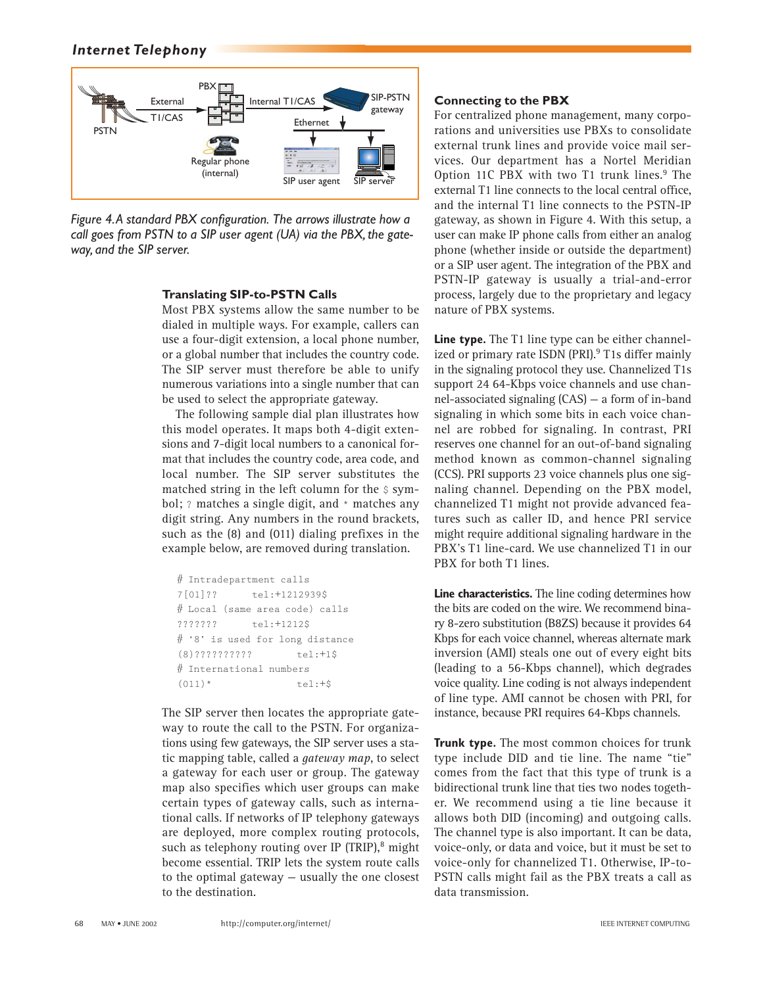# *Internet Telephony*



*Figure 4.A standard PBX configuration. The arrows illustrate how a call goes from PSTN to a SIP user agent (UA) via the PBX, the gateway, and the SIP server.*

### **Translating SIP-to-PSTN Calls**

Most PBX systems allow the same number to be dialed in multiple ways. For example, callers can use a four-digit extension, a local phone number, or a global number that includes the country code. The SIP server must therefore be able to unify numerous variations into a single number that can be used to select the appropriate gateway.

The following sample dial plan illustrates how this model operates. It maps both 4-digit extensions and 7-digit local numbers to a canonical format that includes the country code, area code, and local number. The SIP server substitutes the matched string in the left column for the  $\sin \theta$  symbol; ? matches a single digit, and \* matches any digit string. Any numbers in the round brackets, such as the (8) and (011) dialing prefixes in the example below, are removed during translation.

```
# Intradepartment calls
7[01]?? tel:+1212939$
# Local (same area code) calls
??????? tel:+1212$
# '8' is used for long distance
(8)?????????? tel:+1$
# International numbers
(011)* tel:+$
```
The SIP server then locates the appropriate gateway to route the call to the PSTN. For organizations using few gateways, the SIP server uses a static mapping table, called a *gateway map*, to select a gateway for each user or group. The gateway map also specifies which user groups can make certain types of gateway calls, such as international calls. If networks of IP telephony gateways are deployed, more complex routing protocols, such as telephony routing over IP  $(TRIP)$ ,<sup>8</sup> might become essential. TRIP lets the system route calls to the optimal gateway — usually the one closest to the destination.

# **Connecting to the PBX**

For centralized phone management, many corporations and universities use PBXs to consolidate external trunk lines and provide voice mail services. Our department has a Nortel Meridian Option 11C PBX with two T1 trunk lines.<sup>9</sup> The external T1 line connects to the local central office, and the internal T1 line connects to the PSTN-IP gateway, as shown in Figure 4. With this setup, a user can make IP phone calls from either an analog phone (whether inside or outside the department) or a SIP user agent. The integration of the PBX and PSTN-IP gateway is usually a trial-and-error process, largely due to the proprietary and legacy nature of PBX systems.

**Line type.** The T1 line type can be either channelized or primary rate ISDN (PRI). $9$  T1s differ mainly in the signaling protocol they use. Channelized T1s support 24 64-Kbps voice channels and use channel-associated signaling (CAS) — a form of in-band signaling in which some bits in each voice channel are robbed for signaling. In contrast, PRI reserves one channel for an out-of-band signaling method known as common-channel signaling (CCS). PRI supports 23 voice channels plus one signaling channel. Depending on the PBX model, channelized T1 might not provide advanced features such as caller ID, and hence PRI service might require additional signaling hardware in the PBX's T1 line-card. We use channelized T1 in our PBX for both T1 lines.

**Line characteristics.** The line coding determines how the bits are coded on the wire. We recommend binary 8-zero substitution (B8ZS) because it provides 64 Kbps for each voice channel, whereas alternate mark inversion (AMI) steals one out of every eight bits (leading to a 56-Kbps channel), which degrades voice quality. Line coding is not always independent of line type. AMI cannot be chosen with PRI, for instance, because PRI requires 64-Kbps channels.

**Trunk type.** The most common choices for trunk type include DID and tie line. The name "tie" comes from the fact that this type of trunk is a bidirectional trunk line that ties two nodes together. We recommend using a tie line because it allows both DID (incoming) and outgoing calls. The channel type is also important. It can be data, voice-only, or data and voice, but it must be set to voice-only for channelized T1. Otherwise, IP-to-PSTN calls might fail as the PBX treats a call as data transmission.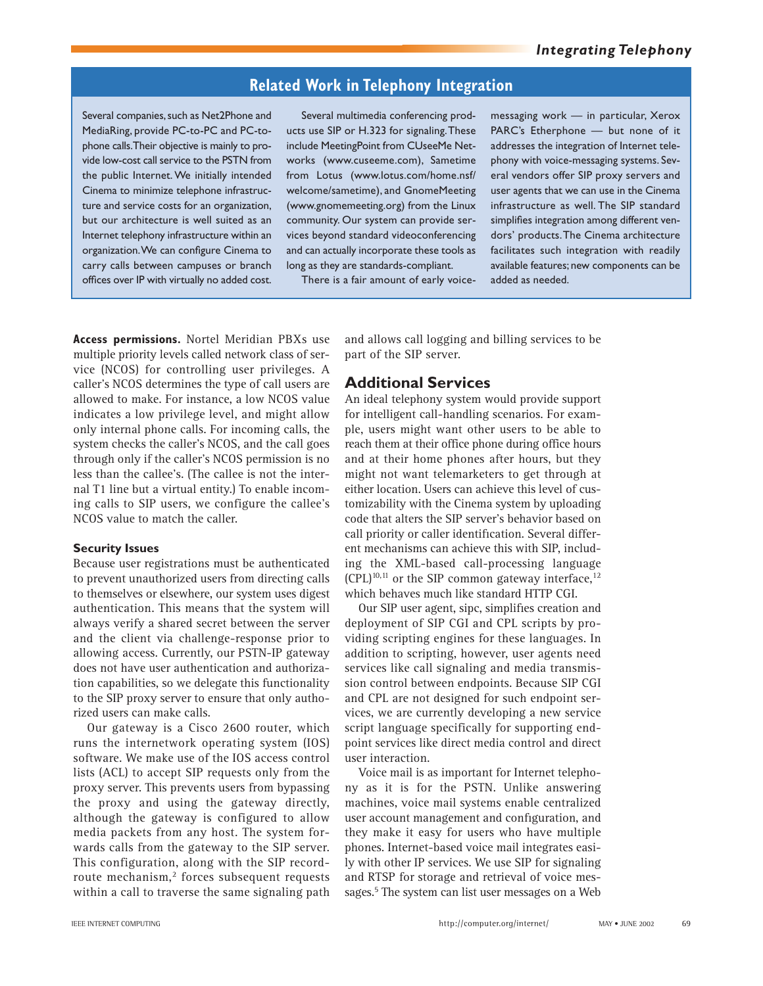# **Related Work in Telephony Integration**

Several companies, such as Net2Phone and MediaRing, provide PC-to-PC and PC-tophone calls.Their objective is mainly to provide low-cost call service to the PSTN from the public Internet. We initially intended Cinema to minimize telephone infrastructure and service costs for an organization, but our architecture is well suited as an Internet telephony infrastructure within an organization.We can configure Cinema to carry calls between campuses or branch offices over IP with virtually no added cost.

Several multimedia conferencing products use SIP or H.323 for signaling.These include MeetingPoint from CUseeMe Networks (www.cuseeme.com), Sametime from Lotus (www.lotus.com/home.nsf/ welcome/sametime), and GnomeMeeting (www.gnomemeeting.org) from the Linux community. Our system can provide services beyond standard videoconferencing and can actually incorporate these tools as long as they are standards-compliant.

There is a fair amount of early voice-

messaging work — in particular, Xerox PARC's Etherphone — but none of it addresses the integration of Internet telephony with voice-messaging systems. Several vendors offer SIP proxy servers and user agents that we can use in the Cinema infrastructure as well. The SIP standard simplifies integration among different vendors' products.The Cinema architecture facilitates such integration with readily available features; new components can be added as needed.

**Access permissions.** Nortel Meridian PBXs use multiple priority levels called network class of service (NCOS) for controlling user privileges. A caller's NCOS determines the type of call users are allowed to make. For instance, a low NCOS value indicates a low privilege level, and might allow only internal phone calls. For incoming calls, the system checks the caller's NCOS, and the call goes through only if the caller's NCOS permission is no less than the callee's. (The callee is not the internal T1 line but a virtual entity.) To enable incoming calls to SIP users, we configure the callee's NCOS value to match the caller.

# **Security Issues**

Because user registrations must be authenticated to prevent unauthorized users from directing calls to themselves or elsewhere, our system uses digest authentication. This means that the system will always verify a shared secret between the server and the client via challenge-response prior to allowing access. Currently, our PSTN-IP gateway does not have user authentication and authorization capabilities, so we delegate this functionality to the SIP proxy server to ensure that only authorized users can make calls.

Our gateway is a Cisco 2600 router, which runs the internetwork operating system (IOS) software. We make use of the IOS access control lists (ACL) to accept SIP requests only from the proxy server. This prevents users from bypassing the proxy and using the gateway directly, although the gateway is configured to allow media packets from any host. The system forwards calls from the gateway to the SIP server. This configuration, along with the SIP recordroute mechanism,<sup>2</sup> forces subsequent requests within a call to traverse the same signaling path

and allows call logging and billing services to be part of the SIP server.

# **Additional Services**

An ideal telephony system would provide support for intelligent call-handling scenarios. For example, users might want other users to be able to reach them at their office phone during office hours and at their home phones after hours, but they might not want telemarketers to get through at either location. Users can achieve this level of customizability with the Cinema system by uploading code that alters the SIP server's behavior based on call priority or caller identification. Several different mechanisms can achieve this with SIP, including the XML-based call-processing language  $(CPL)^{10,11}$  or the SIP common gateway interface,<sup>12</sup> which behaves much like standard HTTP CGI.

Our SIP user agent, sipc, simplifies creation and deployment of SIP CGI and CPL scripts by providing scripting engines for these languages. In addition to scripting, however, user agents need services like call signaling and media transmission control between endpoints. Because SIP CGI and CPL are not designed for such endpoint services, we are currently developing a new service script language specifically for supporting endpoint services like direct media control and direct user interaction.

Voice mail is as important for Internet telephony as it is for the PSTN. Unlike answering machines, voice mail systems enable centralized user account management and configuration, and they make it easy for users who have multiple phones. Internet-based voice mail integrates easily with other IP services. We use SIP for signaling and RTSP for storage and retrieval of voice messages.<sup>5</sup> The system can list user messages on a Web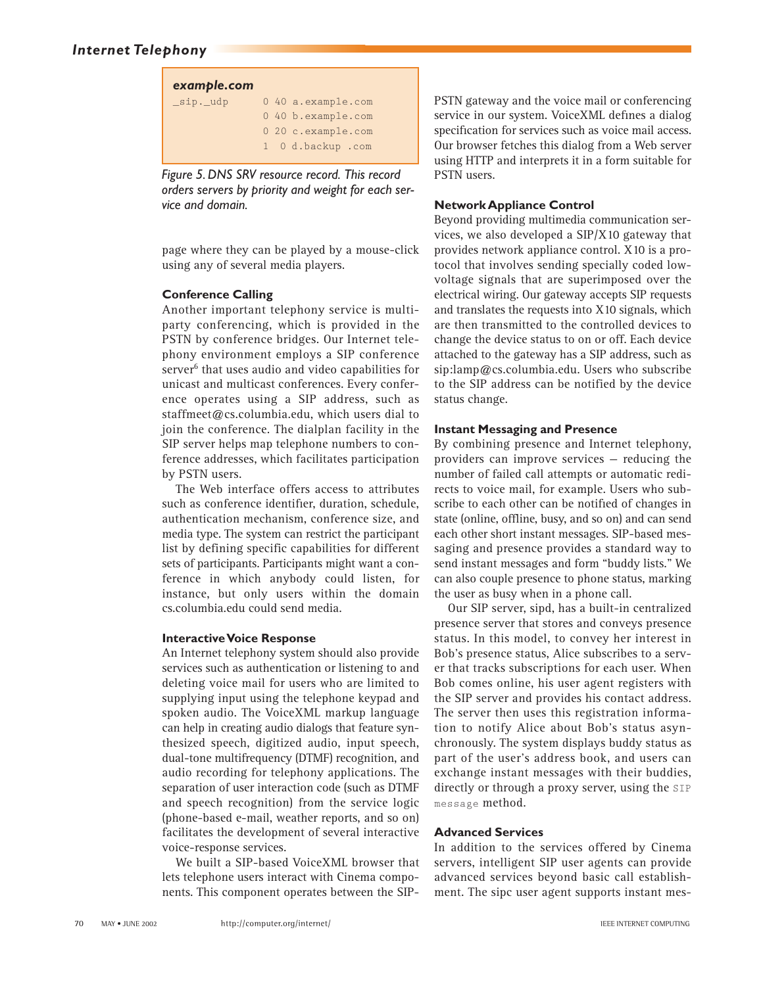# *example.com*

| _sip._udp | 0 40 a.example.com |
|-----------|--------------------|
|           | 0 40 b.example.com |
|           | 0 20 c.example.com |
|           | 1 0 d.backup .com  |
|           |                    |

*Figure 5. DNS SRV resource record. This record orders servers by priority and weight for each service and domain.*

page where they can be played by a mouse-click using any of several media players.

# **Conference Calling**

Another important telephony service is multiparty conferencing, which is provided in the PSTN by conference bridges. Our Internet telephony environment employs a SIP conference server<sup>6</sup> that uses audio and video capabilities for unicast and multicast conferences. Every conference operates using a SIP address, such as staffmeet@cs.columbia.edu, which users dial to join the conference. The dialplan facility in the SIP server helps map telephone numbers to conference addresses, which facilitates participation by PSTN users.

The Web interface offers access to attributes such as conference identifier, duration, schedule, authentication mechanism, conference size, and media type. The system can restrict the participant list by defining specific capabilities for different sets of participants. Participants might want a conference in which anybody could listen, for instance, but only users within the domain cs.columbia.edu could send media.

### **Interactive Voice Response**

An Internet telephony system should also provide services such as authentication or listening to and deleting voice mail for users who are limited to supplying input using the telephone keypad and spoken audio. The VoiceXML markup language can help in creating audio dialogs that feature synthesized speech, digitized audio, input speech, dual-tone multifrequency (DTMF) recognition, and audio recording for telephony applications. The separation of user interaction code (such as DTMF and speech recognition) from the service logic (phone-based e-mail, weather reports, and so on) facilitates the development of several interactive voice-response services.

We built a SIP-based VoiceXML browser that lets telephone users interact with Cinema components. This component operates between the SIP-

PSTN gateway and the voice mail or conferencing service in our system. VoiceXML defines a dialog specification for services such as voice mail access. Our browser fetches this dialog from a Web server using HTTP and interprets it in a form suitable for PSTN users.

### **Network Appliance Control**

Beyond providing multimedia communication services, we also developed a SIP/X10 gateway that provides network appliance control. X10 is a protocol that involves sending specially coded lowvoltage signals that are superimposed over the electrical wiring. Our gateway accepts SIP requests and translates the requests into X10 signals, which are then transmitted to the controlled devices to change the device status to on or off. Each device attached to the gateway has a SIP address, such as sip:lamp@cs.columbia.edu. Users who subscribe to the SIP address can be notified by the device status change.

### **Instant Messaging and Presence**

By combining presence and Internet telephony, providers can improve services — reducing the number of failed call attempts or automatic redirects to voice mail, for example. Users who subscribe to each other can be notified of changes in state (online, offline, busy, and so on) and can send each other short instant messages. SIP-based messaging and presence provides a standard way to send instant messages and form "buddy lists." We can also couple presence to phone status, marking the user as busy when in a phone call.

Our SIP server, sipd, has a built-in centralized presence server that stores and conveys presence status. In this model, to convey her interest in Bob's presence status, Alice subscribes to a server that tracks subscriptions for each user. When Bob comes online, his user agent registers with the SIP server and provides his contact address. The server then uses this registration information to notify Alice about Bob's status asynchronously. The system displays buddy status as part of the user's address book, and users can exchange instant messages with their buddies, directly or through a proxy server, using the SIP message method.

# **Advanced Services**

In addition to the services offered by Cinema servers, intelligent SIP user agents can provide advanced services beyond basic call establishment. The sipc user agent supports instant mes-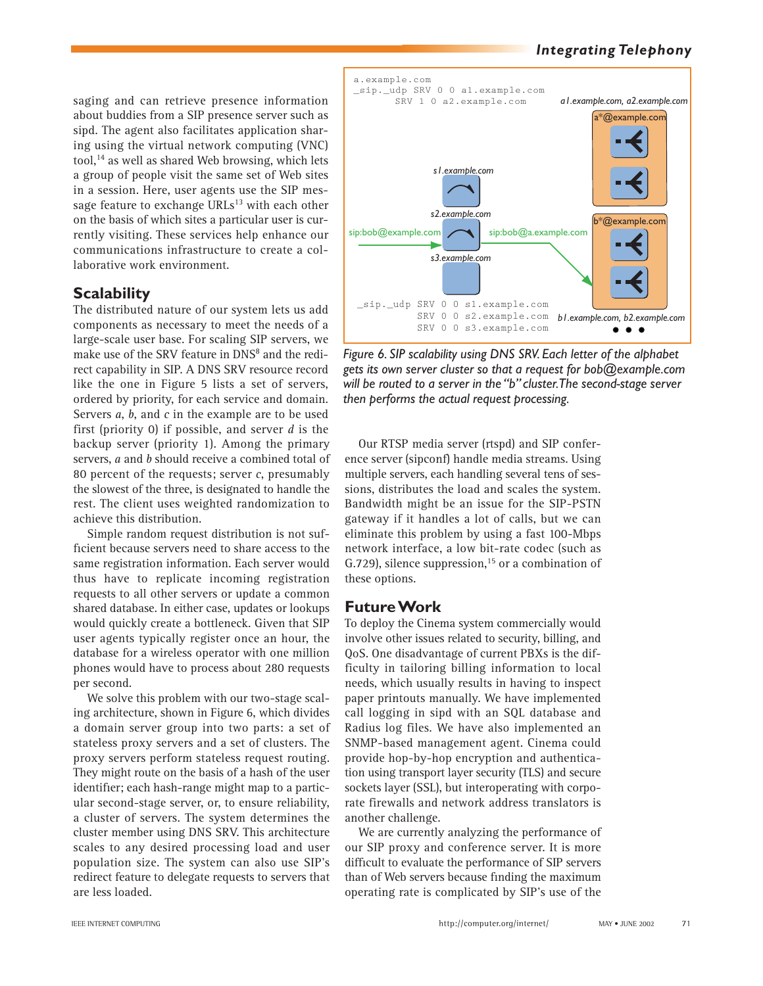*Integrating Telephony*

saging and can retrieve presence information about buddies from a SIP presence server such as sipd. The agent also facilitates application sharing using the virtual network computing (VNC) tool,<sup>14</sup> as well as shared Web browsing, which lets a group of people visit the same set of Web sites in a session. Here, user agents use the SIP message feature to exchange  $URLs<sup>13</sup>$  with each other on the basis of which sites a particular user is currently visiting. These services help enhance our communications infrastructure to create a collaborative work environment.

# **Scalability**

The distributed nature of our system lets us add components as necessary to meet the needs of a large-scale user base. For scaling SIP servers, we make use of the SRV feature in DNS<sup>8</sup> and the redirect capability in SIP. A DNS SRV resource record like the one in Figure 5 lists a set of servers, ordered by priority, for each service and domain. Servers *a*, *b*, and *c* in the example are to be used first (priority 0) if possible, and server *d* is the backup server (priority 1). Among the primary servers, *a* and *b* should receive a combined total of 80 percent of the requests; server *c*, presumably the slowest of the three, is designated to handle the rest. The client uses weighted randomization to achieve this distribution.

Simple random request distribution is not sufficient because servers need to share access to the same registration information. Each server would thus have to replicate incoming registration requests to all other servers or update a common shared database. In either case, updates or lookups would quickly create a bottleneck. Given that SIP user agents typically register once an hour, the database for a wireless operator with one million phones would have to process about 280 requests per second.

We solve this problem with our two-stage scaling architecture, shown in Figure 6, which divides a domain server group into two parts: a set of stateless proxy servers and a set of clusters. The proxy servers perform stateless request routing. They might route on the basis of a hash of the user identifier; each hash-range might map to a particular second-stage server, or, to ensure reliability, a cluster of servers. The system determines the cluster member using DNS SRV. This architecture scales to any desired processing load and user population size. The system can also use SIP's redirect feature to delegate requests to servers that are less loaded.



*Figure 6. SIP scalability using DNS SRV. Each letter of the alphabet gets its own server cluster so that a request for bob@example.com will be routed to a server in the "b" cluster.The second-stage server then performs the actual request processing.*

Our RTSP media server (rtspd) and SIP conference server (sipconf) handle media streams. Using multiple servers, each handling several tens of sessions, distributes the load and scales the system. Bandwidth might be an issue for the SIP-PSTN gateway if it handles a lot of calls, but we can eliminate this problem by using a fast 100-Mbps network interface, a low bit-rate codec (such as G.729), silence suppression,  $15$  or a combination of these options.

# **Future Work**

To deploy the Cinema system commercially would involve other issues related to security, billing, and QoS. One disadvantage of current PBXs is the difficulty in tailoring billing information to local needs, which usually results in having to inspect paper printouts manually. We have implemented call logging in sipd with an SQL database and Radius log files. We have also implemented an SNMP-based management agent. Cinema could provide hop-by-hop encryption and authentication using transport layer security (TLS) and secure sockets layer (SSL), but interoperating with corporate firewalls and network address translators is another challenge.

We are currently analyzing the performance of our SIP proxy and conference server. It is more difficult to evaluate the performance of SIP servers than of Web servers because finding the maximum operating rate is complicated by SIP's use of the